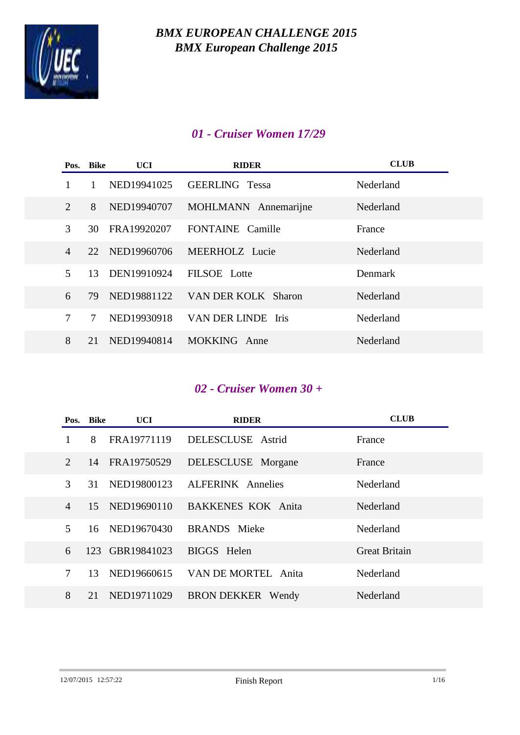

## *01 - Cruiser Women 17/29*

|                | Pos. Bike | UCI         | <b>RIDER</b>          | <b>CLUB</b> |
|----------------|-----------|-------------|-----------------------|-------------|
|                |           | NED19941025 | <b>GEERLING</b> Tessa | Nederland   |
| $\overline{2}$ | 8         | NED19940707 | MOHLMANN Annemarijne  | Nederland   |
| 3              | 30        | FRA19920207 | FONTAINE Camille      | France      |
| $\overline{4}$ | 22.       | NED19960706 | MEERHOLZ Lucie        | Nederland   |
| 5              | 13        | DEN19910924 | FILSOE Lotte          | Denmark     |
| 6              | 79        | NED19881122 | VAN DER KOLK Sharon   | Nederland   |
| 7              | 7         | NED19930918 | VAN DER LINDE Iris    | Nederland   |
| 8              | 21        | NED19940814 | MOKKING Anne          | Nederland   |

### *02 - Cruiser Women 30 +*

|                             | Pos. Bike | UCI.           | <b>RIDER</b>              | <b>CLUB</b>          |
|-----------------------------|-----------|----------------|---------------------------|----------------------|
|                             | 8         | FRA19771119    | DELESCLUSE Astrid         | France               |
| $\mathcal{D}_{\mathcal{L}}$ | 14        | FRA19750529    | DELESCLUSE Morgane        | France               |
| 3                           | 31        | NED19800123    | <b>ALFERINK</b> Annelies  | Nederland            |
| $\overline{4}$              | 15        | NED19690110    | <b>BAKKENES KOK Anita</b> | Nederland            |
| $\overline{\mathcal{L}}$    |           | 16 NED19670430 | <b>BRANDS</b> Mieke       | Nederland            |
| 6                           | 123       | GBR19841023    | BIGGS Helen               | <b>Great Britain</b> |
| 7                           | 13        | NED19660615    | VAN DE MORTEL Anita       | Nederland            |
| 8                           | 21        | NED19711029    | <b>BRON DEKKER</b> Wendy  | Nederland            |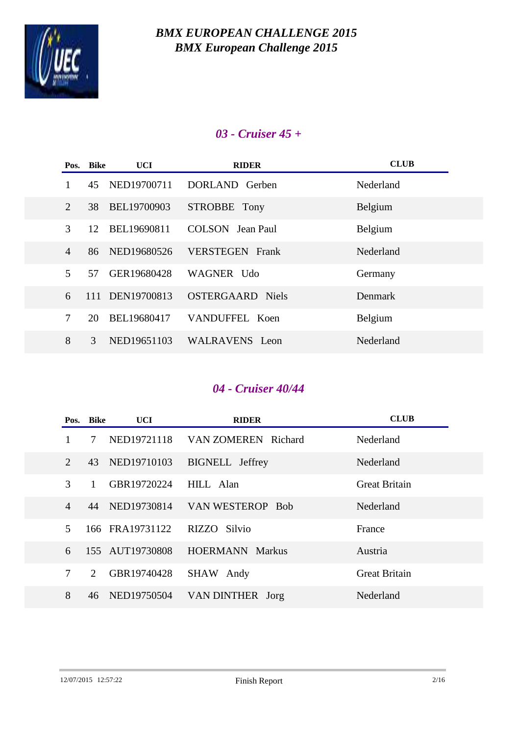

### *03 - Cruiser 45 +*

|                | Pos. Bike | UCI.            | <b>RIDER</b>            | <b>CLUB</b> |
|----------------|-----------|-----------------|-------------------------|-------------|
|                | 45        | NED19700711     | DORLAND Gerben          | Nederland   |
| 2              | 38        | BEL19700903     | STROBBE Tony            | Belgium     |
| 3              | 12        | BEL19690811     | COLSON Jean Paul        | Belgium     |
| $\overline{4}$ | 86        | NED19680526     | <b>VERSTEGEN</b> Frank  | Nederland   |
| 5              | 57        | GER19680428     | WAGNER Udo              | Germany     |
| 6              |           | 111 DEN19700813 | <b>OSTERGAARD</b> Niels | Denmark     |
| $\overline{7}$ | 20        | BEL19680417     | VANDUFFEL Koen          | Belgium     |
| 8              | 3         | NED19651103     | <b>WALRAVENS</b> Leon   | Nederland   |

## *04 - Cruiser 40/44*

|                             | Pos. Bike             | UCI             | <b>RIDER</b>           | <b>CLUB</b>          |
|-----------------------------|-----------------------|-----------------|------------------------|----------------------|
|                             | 7                     | NED19721118     | VAN ZOMEREN Richard    | Nederland            |
| $\mathcal{D}_{\mathcal{L}}$ | 43                    | NED19710103     | <b>BIGNELL</b> Jeffrey | Nederland            |
| 3                           | $\mathbf{1}$          | GBR19720224     | HILL Alan              | <b>Great Britain</b> |
| $\overline{4}$              | 44                    | NED19730814     | VAN WESTEROP Bob       | Nederland            |
| $\overline{\mathcal{L}}$    |                       | 166 FRA19731122 | RIZZO Silvio           | France               |
| 6                           |                       | 155 AUT19730808 | <b>HOERMANN Markus</b> | Austria              |
| 7                           | $\mathcal{D}_{\cdot}$ | GBR19740428     | SHAW Andy              | <b>Great Britain</b> |
| 8                           | 46                    | NED19750504     | VAN DINTHER Jorg       | Nederland            |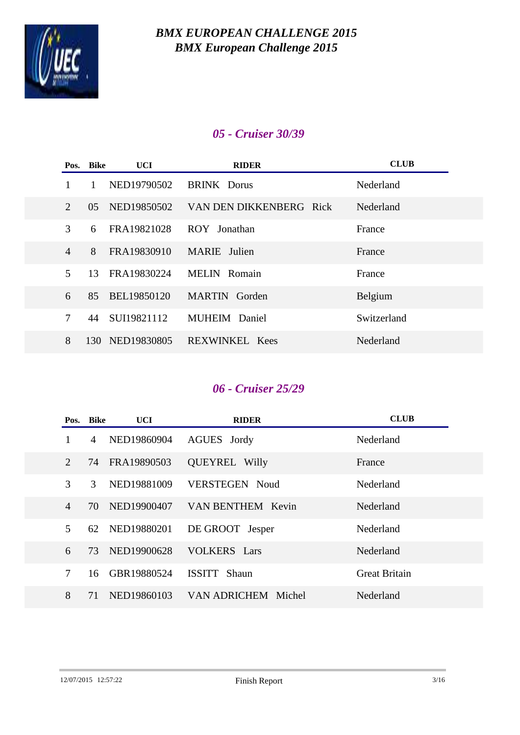

## *05 - Cruiser 30/39*

|                         | Pos. Bike | <b>UCI</b>  | <b>RIDER</b>            | <b>CLUB</b> |
|-------------------------|-----------|-------------|-------------------------|-------------|
|                         |           | NED19790502 | <b>BRINK</b> Dorus      | Nederland   |
| $\overline{2}$          | 05        | NED19850502 | VAN DEN DIKKENBERG Rick | Nederland   |
| 3                       | 6         | FRA19821028 | ROY Jonathan            | France      |
| $\overline{4}$          | 8         | FRA19830910 | <b>MARIE</b> Julien     | France      |
| $\overline{\mathbf{5}}$ | 13        | FRA19830224 | MELIN Romain            | France      |
| 6                       | 85        | BEL19850120 | <b>MARTIN</b> Gorden    | Belgium     |
| 7                       | 44        | SUI19821112 | <b>MUHEIM</b><br>Daniel | Switzerland |
| 8                       | 130       | NED19830805 | <b>REXWINKEL Kees</b>   | Nederland   |

# *06 - Cruiser 25/29*

|                | Pos. Bike | UCI         | <b>RIDER</b>          | <b>CLUB</b>          |
|----------------|-----------|-------------|-----------------------|----------------------|
| 1              | 4         | NED19860904 | AGUES Jordy           | Nederland            |
| $\overline{2}$ | 74        | FRA19890503 | <b>QUEYREL Willy</b>  | France               |
| 3              | 3         | NED19881009 | <b>VERSTEGEN Noud</b> | Nederland            |
| $\overline{4}$ | 70        | NED19900407 | VAN BENTHEM Kevin     | Nederland            |
| 5              | 62        | NED19880201 | DE GROOT Jesper       | Nederland            |
| 6              | 73        | NED19900628 | <b>VOLKERS</b> Lars   | Nederland            |
| 7              | 16        | GBR19880524 | ISSITT Shaun          | <b>Great Britain</b> |
| 8              | 71        | NED19860103 | VAN ADRICHEM Michel   | Nederland            |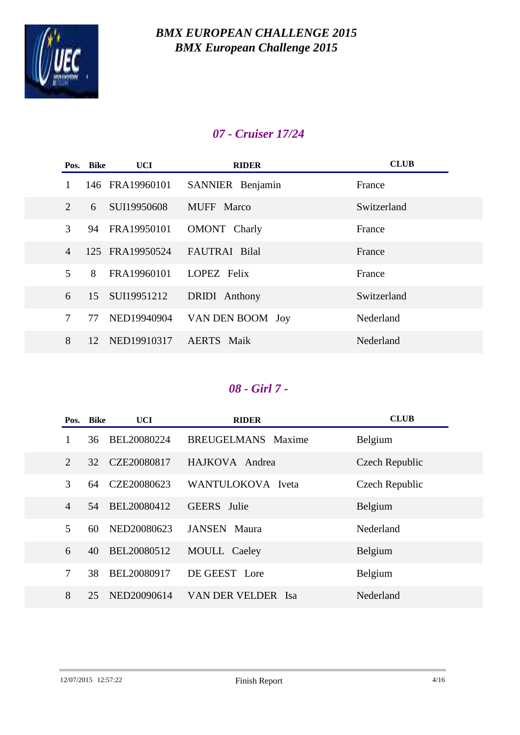

## *07 - Cruiser 17/24*

|                             | Pos. Bike | <b>UCI</b>      | <b>RIDER</b>         | <b>CLUB</b> |
|-----------------------------|-----------|-----------------|----------------------|-------------|
|                             |           | 146 FRA19960101 | SANNIER Benjamin     | France      |
| $\mathcal{D}_{\mathcal{L}}$ | 6         | SUI19950608     | MUFF Marco           | Switzerland |
| 3                           | 94        | FRA19950101     | OMONT Charly         | France      |
| $\overline{4}$              |           | 125 FRA19950524 | <b>FAUTRAI Bilal</b> | France      |
| 5                           | 8         | FRA19960101     | LOPEZ Felix          | France      |
| 6                           | 15        | SUI19951212     | <b>DRIDI</b> Anthony | Switzerland |
| 7                           | 77        | NED19940904     | VAN DEN BOOM Joy     | Nederland   |
| 8                           | 12        | NED19910317     | <b>AERTS</b> Maik    | Nederland   |

## *08 - Girl 7 -*

|                | Pos. Bike | UCI         | <b>RIDER</b>              | <b>CLUB</b>    |
|----------------|-----------|-------------|---------------------------|----------------|
| 1              | 36        | BEL20080224 | <b>BREUGELMANS</b> Maxime | Belgium        |
| $\overline{2}$ | 32        | CZE20080817 | HAJKOVA Andrea            | Czech Republic |
| 3              | 64        | CZE20080623 | WANTULOKOVA Iveta         | Czech Republic |
| $\overline{4}$ | 54        | BEL20080412 | <b>GEERS</b> Julie        | Belgium        |
| 5              | 60        | NED20080623 | <b>JANSEN</b> Maura       | Nederland      |
| 6              | 40        | BEL20080512 | MOULL Caeley              | Belgium        |
| 7              | 38        | BEL20080917 | DE GEEST Lore             | Belgium        |
| 8              | 25        | NED20090614 | VAN DER VELDER Isa        | Nederland      |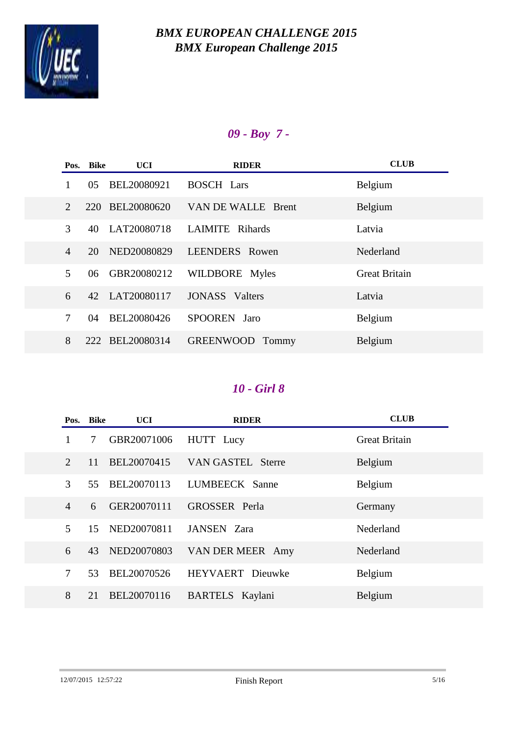

# *09 - Boy 7 -*

| Pos.                        | Bike | UCI.            | <b>RIDER</b>              | <b>CLUB</b>          |
|-----------------------------|------|-----------------|---------------------------|----------------------|
|                             | 05   | BEL20080921     | <b>BOSCH Lars</b>         | Belgium              |
| $\mathcal{D}_{\mathcal{L}}$ | 220  | BEL20080620     | VAN DE WALLE Brent        | Belgium              |
| 3                           | 40   | LAT20080718     | LAIMITE Rihards           | Latvia               |
| $\overline{4}$              | 20   | NED20080829     | <b>LEENDERS</b> Rowen     | Nederland            |
| 5                           | 06   | GBR20080212     | WILDBORE Myles            | <b>Great Britain</b> |
| 6                           | 42   | LAT20080117     | <b>JONASS</b> Valters     | Latvia               |
| $\tau$                      | 04   | BEL20080426     | SPOOREN Jaro              | Belgium              |
| 8                           |      | 222 BEL20080314 | <b>GREENWOOD</b><br>Tommy | Belgium              |

|                | Pos. Bike | <b>UCI</b>  | <b>RIDER</b>             | <b>CLUB</b>          |
|----------------|-----------|-------------|--------------------------|----------------------|
|                | 7         | GBR20071006 | HUTT Lucy                | <b>Great Britain</b> |
| $\overline{2}$ | 11        | BEL20070415 | <b>VAN GASTEL Sterre</b> | Belgium              |
| 3              | 55        | BEL20070113 | LUMBEECK Sanne           | Belgium              |
| $\overline{4}$ | 6         | GER20070111 | <b>GROSSER</b> Perla     | Germany              |
| $\mathfrak{H}$ | 15        | NED20070811 | JANSEN Zara              | Nederland            |
| 6              | 43        | NED20070803 | VAN DER MEER Amy         | Nederland            |
| 7              | 53        | BEL20070526 | <b>HEYVAERT</b> Dieuwke  | Belgium              |
| 8              | 21        | BEL20070116 | BARTELS Kaylani          | Belgium              |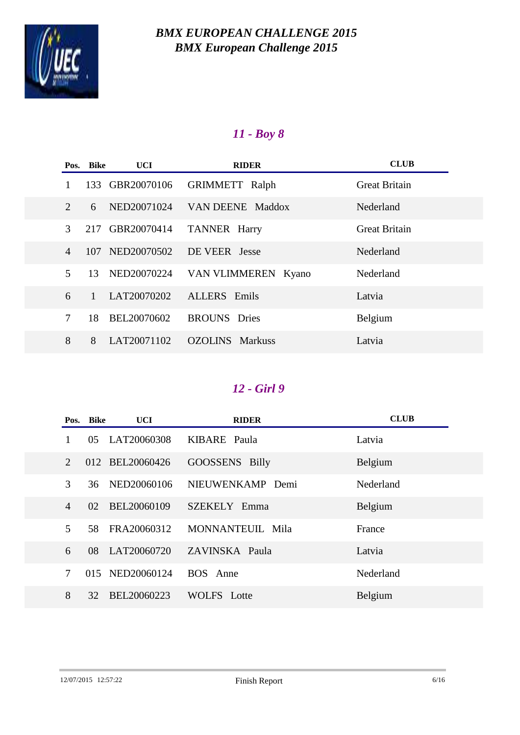

# *11 - Boy 8*

|                             | Pos. Bike    | <b>UCI</b>  | <b>RIDER</b>                     | <b>CLUB</b>          |
|-----------------------------|--------------|-------------|----------------------------------|----------------------|
|                             | 133          | GBR20070106 | <b>GRIMMETT</b> Ralph            | <b>Great Britain</b> |
| $\mathcal{D}_{\mathcal{L}}$ | 6            | NED20071024 | VAN DEENE Maddox                 | Nederland            |
| 3                           | 217          | GBR20070414 | <b>TANNER Harry</b>              | <b>Great Britain</b> |
| $\overline{4}$              | 107          | NED20070502 | DE VEER Jesse                    | Nederland            |
| 5                           | 13           | NED20070224 | VAN VLIMMEREN Kyano              | Nederland            |
| 6                           | $\mathbf{1}$ | LAT20070202 | <b>ALLERS</b> Emils              | Latvia               |
| 7                           | 18           | BEL20070602 | <b>BROUNS</b> Dries              | Belgium              |
| 8                           | 8            | LAT20071102 | <b>OZOLINS</b><br><b>Markuss</b> | Latvia               |

|                             | Pos. Bike | UCI             | <b>RIDER</b>       | <b>CLUB</b> |
|-----------------------------|-----------|-----------------|--------------------|-------------|
|                             | 05        | LAT20060308     | KIBARE Paula       | Latvia      |
| $\mathcal{D}_{\mathcal{L}}$ |           | 012 BEL20060426 | GOOSSENS Billy     | Belgium     |
| 3                           | 36        | NED20060106     | NIEUWENKAMP Demi   | Nederland   |
| $\overline{4}$              | 02        | BEL20060109     | SZEKELY Emma       | Belgium     |
| 5                           | 58        | FRA20060312     | MONNANTEUIL Mila   | France      |
| 6                           | 08        | LAT20060720     | ZAVINSKA Paula     | Latvia      |
| 7                           | 015       | NED20060124     | BOS Anne           | Nederland   |
| 8                           | 32        | BEL20060223     | <b>WOLFS</b> Lotte | Belgium     |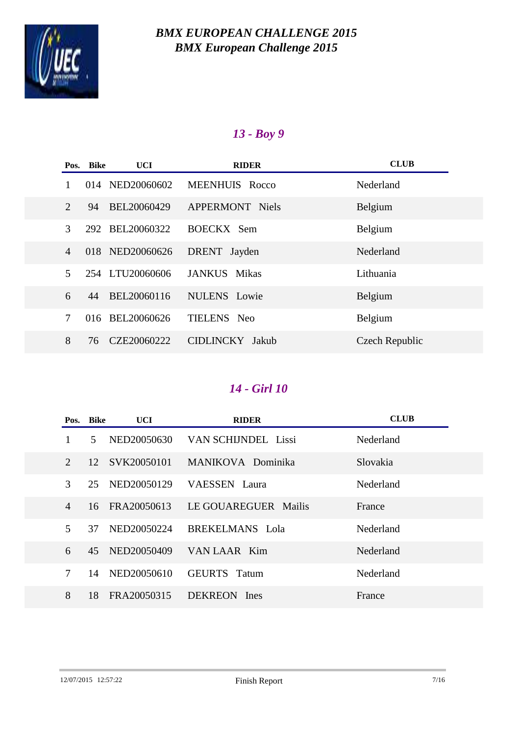

# *13 - Boy 9*

|                             | Pos. Bike | UCI             | <b>RIDER</b>              | <b>CLUB</b>    |
|-----------------------------|-----------|-----------------|---------------------------|----------------|
|                             | 014       | NED20060602     | MEENHUIS Rocco            | Nederland      |
| $\mathcal{D}_{\mathcal{L}}$ | 94        | BEL20060429     | <b>APPERMONT Niels</b>    | Belgium        |
| 3                           | 292       | BEL20060322     | BOECKX Sem                | Belgium        |
| $\overline{4}$              |           | 018 NED20060626 | DRENT Jayden              | Nederland      |
| 5                           |           | 254 LTU20060606 | JANKUS Mikas              | Lithuania      |
| 6                           | 44        | BEL20060116     | <b>NULENS</b> Lowie       | Belgium        |
| $\overline{7}$              | 016       | BEL20060626     | TIELENS Neo               | Belgium        |
| 8                           | 76        | CZE20060222     | <b>CIDLINCKY</b><br>Jakub | Czech Republic |

|                             | Pos. Bike | <b>UCI</b>  | <b>RIDER</b>         | <b>CLUB</b> |
|-----------------------------|-----------|-------------|----------------------|-------------|
| 1                           | 5         | NED20050630 | VAN SCHIJNDEL Lissi  | Nederland   |
| $\mathcal{D}_{\mathcal{L}}$ | 12        | SVK20050101 | MANIKOVA Dominika    | Slovakia    |
| 3                           | 25        | NED20050129 | VAESSEN Laura        | Nederland   |
| $\overline{4}$              | 16        | FRA20050613 | LE GOUAREGUER Mailis | France      |
| 5                           | 37        | NED20050224 | BREKELMANS Lola      | Nederland   |
| 6                           | 45        | NED20050409 | VAN LAAR Kim         | Nederland   |
| 7                           | 14        | NED20050610 | <b>GEURTS</b> Tatum  | Nederland   |
| 8                           | 18        | FRA20050315 | DEKREON Ines         | France      |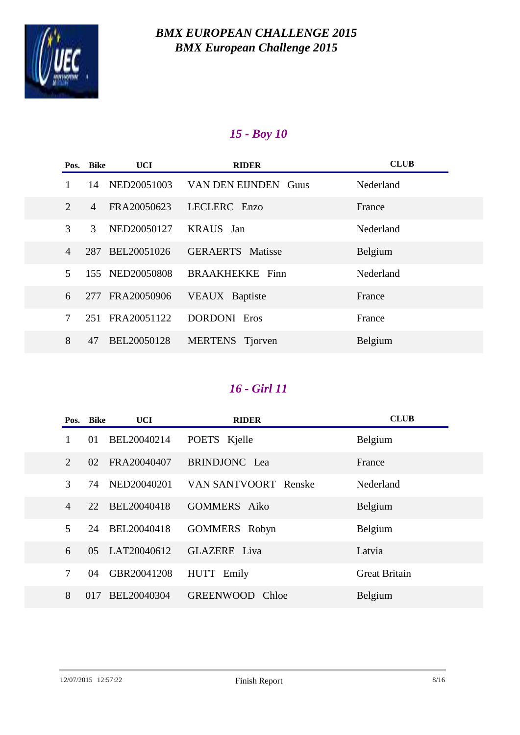

# *15 - Boy 10*

|                          | Pos. Bike      | UCI             | <b>RIDER</b>            | <b>CLUB</b> |
|--------------------------|----------------|-----------------|-------------------------|-------------|
|                          | 14             | NED20051003     | VAN DEN EIJNDEN Guus    | Nederland   |
| 2                        | $\overline{4}$ | FRA20050623     | LECLERC Enzo            | France      |
| 3                        | 3              | NED20050127     | <b>KRAUS</b> Jan        | Nederland   |
| $\overline{4}$           | 287            | BEL20051026     | <b>GERAERTS</b> Matisse | Belgium     |
| $\overline{\mathcal{L}}$ |                | 155 NED20050808 | <b>BRAAKHEKKE</b> Finn  | Nederland   |
| 6                        |                | 277 FRA20050906 | <b>VEAUX</b> Baptiste   | France      |
| 7                        |                | 251 FRA20051122 | <b>DORDONI</b> Eros     | France      |
| 8                        | 47             | BEL20050128     | MERTENS Tjorven         | Belgium     |

|                             | Pos. Bike | UCI         | <b>RIDER</b>              | <b>CLUB</b>          |
|-----------------------------|-----------|-------------|---------------------------|----------------------|
|                             | 01        | BEL20040214 | POETS Kjelle              | Belgium              |
| $\mathcal{D}_{\mathcal{L}}$ | 02        | FRA20040407 | <b>BRINDJONC</b> Lea      | France               |
| 3                           | 74        | NED20040201 | VAN SANTVOORT Renske      | Nederland            |
| $\overline{4}$              | 22        | BEL20040418 | <b>GOMMERS</b> Aiko       | Belgium              |
| 5                           | 24        | BEL20040418 | <b>GOMMERS</b> Robyn      | Belgium              |
| 6                           | 05        | LAT20040612 | <b>GLAZERE</b> Liva       | Latvia               |
| 7                           | 04        | GBR20041208 | HUTT Emily                | <b>Great Britain</b> |
| 8                           | 017       | BEL20040304 | <b>GREENWOOD</b><br>Chloe | Belgium              |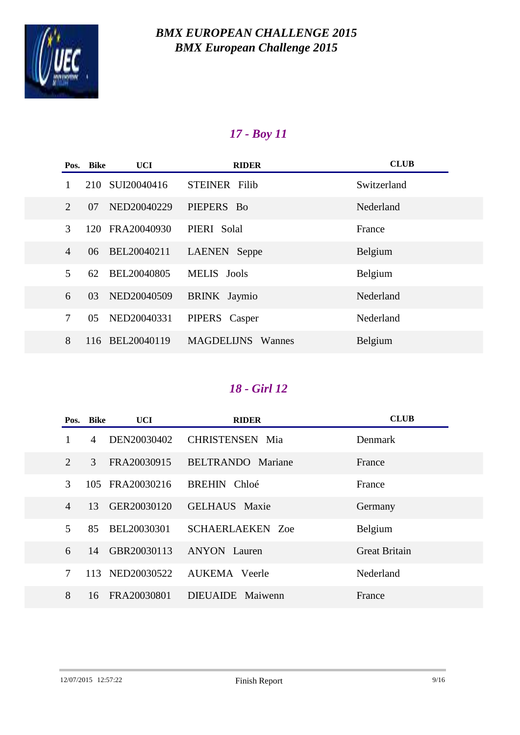

# *17 - Boy 11*

|                             | Pos. Bike | UCI         | <b>RIDER</b>                | <b>CLUB</b> |
|-----------------------------|-----------|-------------|-----------------------------|-------------|
|                             | 210       | SUI20040416 | <b>STEINER Filib</b>        | Switzerland |
| $\mathcal{D}_{\mathcal{L}}$ | 07        | NED20040229 | PIEPERS Bo                  | Nederland   |
| 3                           | 120       | FRA20040930 | PIERI Solal                 | France      |
| $\overline{4}$              | 06        | BEL20040211 | LAENEN Seppe                | Belgium     |
| 5                           | 62        | BEL20040805 | MELIS Jools                 | Belgium     |
| 6                           | 03        | NED20040509 | <b>BRINK</b> Jaymio         | Nederland   |
| $\overline{7}$              | 05        | NED20040331 | PIPERS Casper               | Nederland   |
| 8                           | 116       | BEL20040119 | <b>MAGDELIJNS</b><br>Wannes | Belgium     |

|                | Pos. Bike | <b>UCI</b>      | <b>RIDER</b>             | <b>CLUB</b>          |
|----------------|-----------|-----------------|--------------------------|----------------------|
|                | 4         | DEN20030402     | <b>CHRISTENSEN</b> Mia   | Denmark              |
| $\overline{2}$ | 3         | FRA20030915     | <b>BELTRANDO</b> Mariane | France               |
| 3              |           | 105 FRA20030216 | BREHIN Chloé             | France               |
| $\overline{4}$ | 13        | GER20030120     | <b>GELHAUS</b> Maxie     | Germany              |
| 5              | 85        | BEL20030301     | <b>SCHAERLAEKEN Zoe</b>  | Belgium              |
| 6              | 14        | GBR20030113     | <b>ANYON</b> Lauren      | <b>Great Britain</b> |
| 7              | 113       | NED20030522     | <b>AUKEMA</b> Veerle     | Nederland            |
| 8              | 16        | FRA20030801     | DIEUAIDE Maiwenn         | France               |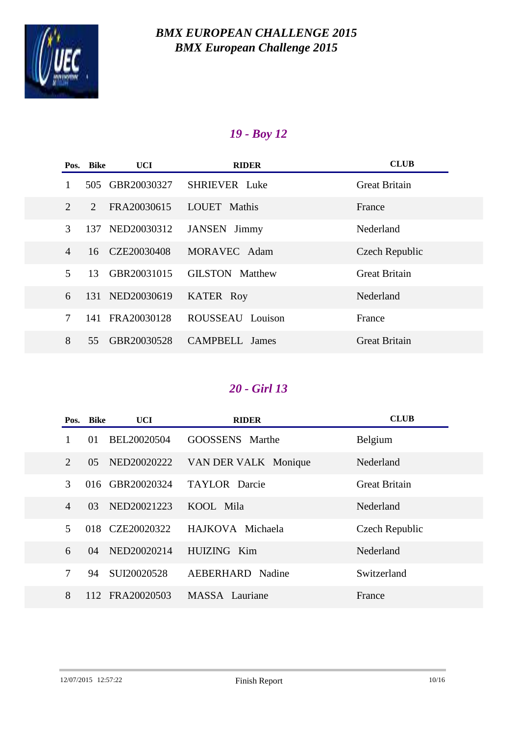

# *19 - Boy 12*

|                             | Pos. Bike | <b>UCI</b>      | <b>RIDER</b>           | <b>CLUB</b>          |
|-----------------------------|-----------|-----------------|------------------------|----------------------|
|                             | 505       | GBR20030327     | <b>SHRIEVER</b> Luke   | <b>Great Britain</b> |
| $\mathcal{D}_{\mathcal{L}}$ | 2         | FRA20030615     | <b>LOUET</b> Mathis    | France               |
| 3                           | 137       | NED20030312     | <b>JANSEN</b> Jimmy    | Nederland            |
| $\overline{4}$              | 16        | CZE20030408     | MORAVEC Adam           | Czech Republic       |
| $\overline{5}$              | 13        | GBR20031015     | <b>GILSTON</b> Matthew | <b>Great Britain</b> |
| 6                           |           | 131 NED20030619 | <b>KATER Roy</b>       | Nederland            |
| 7                           | 141       | FRA20030128     | ROUSSEAU Louison       | France               |
| 8                           | 55        | GBR20030528     | <b>CAMPBELL</b> James  | <b>Great Britain</b> |

|                | Pos. Bike | UCI -           | <b>RIDER</b>         | <b>CLUB</b>          |
|----------------|-----------|-----------------|----------------------|----------------------|
|                | 01        | BEL20020504     | GOOSSENS Marthe      | Belgium              |
| 2              | 05        | NED20020222     | VAN DER VALK Monique | Nederland            |
| 3              |           | 016 GBR20020324 | <b>TAYLOR</b> Darcie | <b>Great Britain</b> |
| $\overline{4}$ | 03        | NED20021223     | KOOL Mila            | Nederland            |
| 5              |           | 018 CZE20020322 | HAJKOVA Michaela     | Czech Republic       |
| 6              | 04        | NED20020214     | HUIZING Kim          | Nederland            |
| 7              | 94        | SUI20020528     | AEBERHARD Nadine     | Switzerland          |
| 8              | 112       | FRA20020503     | MASSA Lauriane       | France               |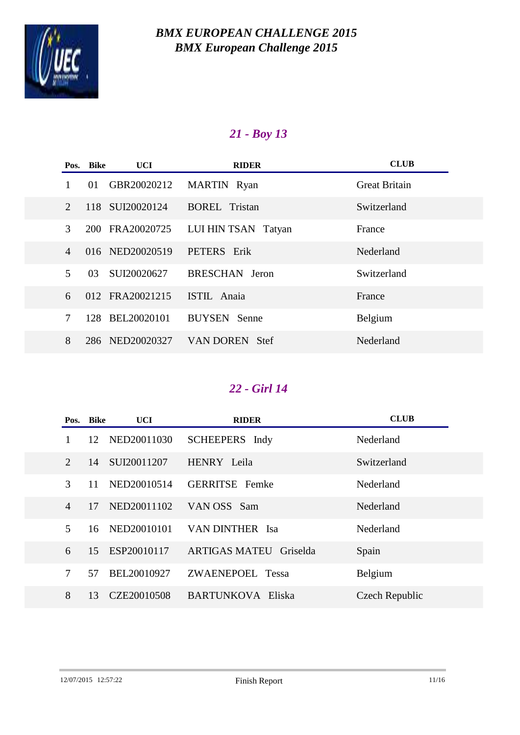

# *21 - Boy 13*

|                             | Pos. Bike<br>UCI   | <b>RIDER</b>         | <b>CLUB</b>          |
|-----------------------------|--------------------|----------------------|----------------------|
|                             | GBR20020212<br>01  | MARTIN Ryan          | <b>Great Britain</b> |
| $\mathcal{D}_{\mathcal{L}}$ | 118 SUI20020124    | <b>BOREL</b> Tristan | Switzerland          |
| 3                           | 200 FRA20020725    | LUI HIN TSAN Tatyan  | France               |
| $\overline{4}$              | 016 NED20020519    | PETERS Erik          | Nederland            |
| $\overline{\mathcal{L}}$    | SUI20020627<br>03  | BRESCHAN Jeron       | Switzerland          |
| 6                           | 012 FRA20021215    | <b>ISTIL</b> Anaia   | France               |
| 7                           | BEL20020101<br>128 | <b>BUYSEN</b> Senne  | Belgium              |
| 8                           | 286 NED20020327    | VAN DOREN Stef       | Nederland            |

|                             | Pos. Bike | UCI         | <b>RIDER</b>                  | <b>CLUB</b>    |
|-----------------------------|-----------|-------------|-------------------------------|----------------|
| 1                           | 12        | NED20011030 | SCHEEPERS Indy                | Nederland      |
| $\mathcal{D}_{\mathcal{L}}$ | 14        | SUI20011207 | HENRY Leila                   | Switzerland    |
| 3                           | 11        | NED20010514 | <b>GERRITSE</b> Femke         | Nederland      |
| $\overline{4}$              | 17        | NED20011102 | VAN OSS Sam                   | Nederland      |
| 5                           | 16        | NED20010101 | VAN DINTHER Isa               | Nederland      |
| 6                           | 15        | ESP20010117 | <b>ARTIGAS MATEU Griselda</b> | Spain          |
| 7                           | 57        | BEL20010927 | ZWAENEPOEL Tessa              | Belgium        |
| 8                           | 13        | CZE20010508 | <b>BARTUNKOVA Eliska</b>      | Czech Republic |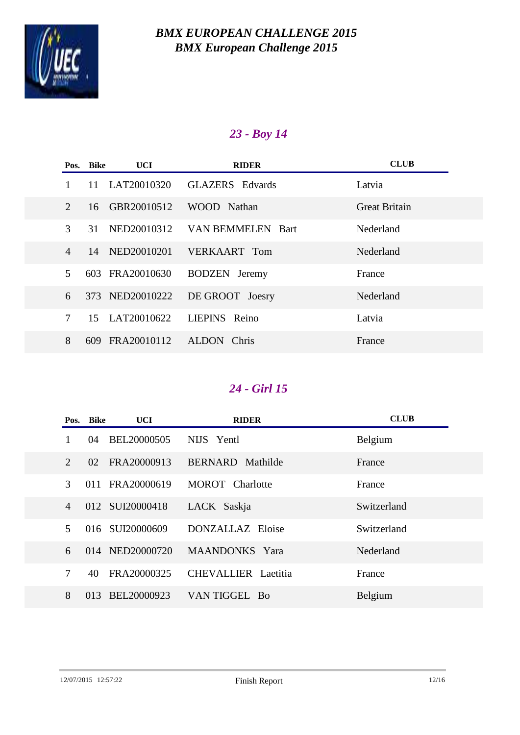

# *23 - Boy 14*

|                             | Pos. Bike | UCI             | <b>RIDER</b>           | <b>CLUB</b>          |
|-----------------------------|-----------|-----------------|------------------------|----------------------|
|                             | 11        | LAT20010320     | <b>GLAZERS</b> Edvards | Latvia               |
| $\mathcal{D}_{\mathcal{L}}$ | 16        | GBR20010512     | WOOD Nathan            | <b>Great Britain</b> |
| 3                           | 31        | NED20010312     | VAN BEMMELEN Bart      | Nederland            |
| $\overline{4}$              | 14        | NED20010201     | VERKAART Tom           | Nederland            |
| $\overline{\mathcal{L}}$    | 603       | FRA20010630     | <b>BODZEN</b> Jeremy   | France               |
| 6                           |           | 373 NED20010222 | DE GROOT Joesry        | Nederland            |
| $\tau$                      |           | 15 LAT20010622  | LIEPINS Reino          | Latvia               |
| 8                           |           | 609 FRA20010112 | ALDON Chris            | France               |

|                             | Pos. Bike | <b>UCI</b>      | <b>RIDER</b>               | <b>CLUB</b> |
|-----------------------------|-----------|-----------------|----------------------------|-------------|
| 1                           | 04        | BEL20000505     | NIJS Yentl                 | Belgium     |
| $\mathcal{D}_{\mathcal{L}}$ | 02        | FRA20000913     | <b>BERNARD</b> Mathilde    | France      |
| 3                           | 011       | FRA20000619     | <b>MOROT</b> Charlotte     | France      |
| $\overline{4}$              |           | 012 SUI20000418 | LACK Saskja                | Switzerland |
| 5                           |           | 016 SUI20000609 | DONZALLAZ Eloise           | Switzerland |
| 6                           |           | 014 NED20000720 | <b>MAANDONKS</b> Yara      | Nederland   |
| $\overline{7}$              | 40        | FRA20000325     | <b>CHEVALLIER</b> Laetitia | France      |
| 8                           | 013       | BEL20000923     | VAN TIGGEL Bo              | Belgium     |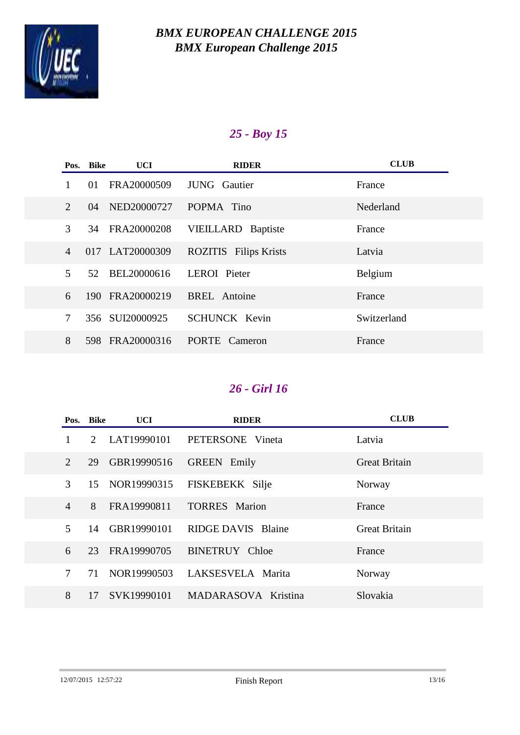

# *25 - Boy 15*

|                | Pos. Bike | UCI.            | <b>RIDER</b>                 | <b>CLUB</b> |
|----------------|-----------|-----------------|------------------------------|-------------|
|                | 01        | FRA20000509     | <b>JUNG</b> Gautier          | France      |
| 2              | 04        | NED20000727     | POPMA Tino                   | Nederland   |
| 3              | 34        | FRA20000208     | <b>VIEILLARD</b> Baptiste    | France      |
| $\overline{4}$ |           | 017 LAT20000309 | <b>ROZITIS</b> Filips Krists | Latvia      |
| 5              | 52        | BEL20000616     | LEROI Pieter                 | Belgium     |
| 6              |           | 190 FRA20000219 | <b>BREL</b> Antoine          | France      |
| $\tau$         | 356       | SUI20000925     | <b>SCHUNCK Kevin</b>         | Switzerland |
| 8              |           | 598 FRA20000316 | <b>PORTE</b><br>Cameron      | France      |

|                             | Pos. Bike   | UCI         | <b>RIDER</b>              | <b>CLUB</b>          |
|-----------------------------|-------------|-------------|---------------------------|----------------------|
| 1                           | $2^{\circ}$ | LAT19990101 | PETERSONE Vineta          | Latvia               |
| $\mathcal{D}_{\mathcal{L}}$ | 29          | GBR19990516 | <b>GREEN</b> Emily        | <b>Great Britain</b> |
| 3                           | 15          | NOR19990315 | FISKEBEKK Silje           | Norway               |
| 4                           | 8           | FRA19990811 | <b>TORRES</b> Marion      | France               |
| 5                           | 14          | GBR19990101 | <b>RIDGE DAVIS Blaine</b> | <b>Great Britain</b> |
| 6                           | 23          | FRA19990705 | <b>BINETRUY</b> Chloe     | France               |
| 7                           | 71          | NOR19990503 | LAKSESVELA Marita         | Norway               |
| 8                           | 17          | SVK19990101 | MADARASOVA Kristina       | Slovakia             |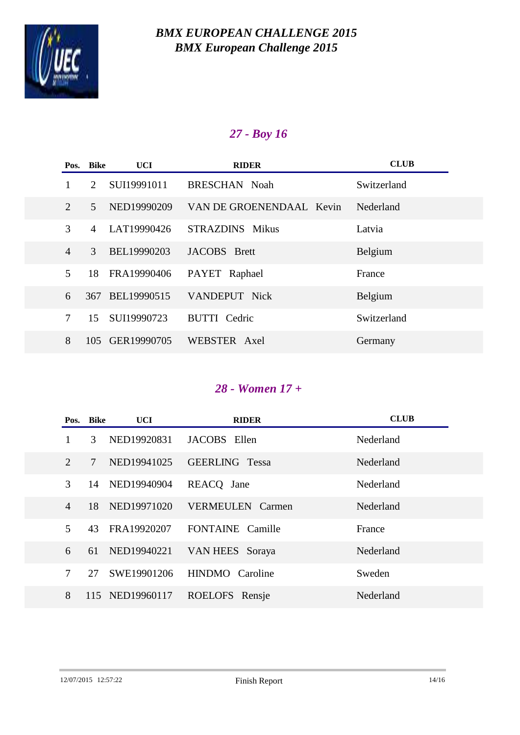

# *27 - Boy 16*

|                | Pos. Bike                   | UCI         | <b>RIDER</b>             | <b>CLUB</b> |
|----------------|-----------------------------|-------------|--------------------------|-------------|
| 1              | $\mathcal{D}_{\mathcal{L}}$ | SUI19991011 | <b>BRESCHAN Noah</b>     | Switzerland |
| $\overline{2}$ | 5                           | NED19990209 | VAN DE GROENENDAAL Kevin | Nederland   |
| 3              | 4                           | LAT19990426 | <b>STRAZDINS</b> Mikus   | Latvia      |
| $\overline{4}$ | 3                           | BEL19990203 | JACOBS Brett             | Belgium     |
| 5              | 18                          | FRA19990406 | PAYET Raphael            | France      |
| 6              | 367                         | BEL19990515 | VANDEPUT Nick            | Belgium     |
| $\overline{7}$ | 15                          | SUI19990723 | <b>BUTTI</b> Cedric      | Switzerland |
| 8              | $105 -$                     | GER19990705 | WEBSTER Axel             | Germany     |

# *28 - Women 17 +*

|                | Pos. Bike     | UCI             | <b>RIDER</b>            | <b>CLUB</b> |
|----------------|---------------|-----------------|-------------------------|-------------|
| 1              | $\mathcal{R}$ | NED19920831     | JACOBS Ellen            | Nederland   |
| $\overline{2}$ | 7             | NED19941025     | <b>GEERLING Tessa</b>   | Nederland   |
| 3              | 14            | NED19940904     | REACO Jane              | Nederland   |
| $\overline{4}$ | 18            | NED19971020     | <b>VERMEULEN</b> Carmen | Nederland   |
| 5              | 43            | FRA19920207     | <b>FONTAINE</b> Camille | France      |
| 6              | 61            | NED19940221     | VAN HEES Soraya         | Nederland   |
| 7              | 27            | SWE19901206     | HINDMO Caroline         | Sweden      |
| 8              |               | 115 NED19960117 | ROELOFS Rensje          | Nederland   |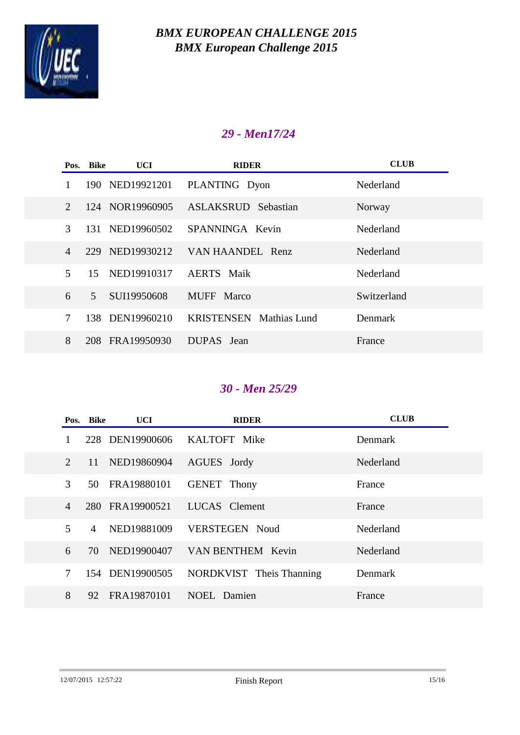

## *29 - Men17/24*

|                             | Pos. Bike      | UCI             | <b>RIDER</b>                   | <b>CLUB</b> |
|-----------------------------|----------------|-----------------|--------------------------------|-------------|
|                             |                | 190 NED19921201 | PLANTING Dyon                  | Nederland   |
| $\mathcal{D}_{\mathcal{L}}$ |                | 124 NOR19960905 | <b>ASLAKSRUD</b> Sebastian     | Norway      |
| 3                           |                | 131 NED19960502 | SPANNINGA Kevin                | Nederland   |
| $\overline{4}$              |                | 229 NED19930212 | VAN HAANDEL Renz               | Nederland   |
| 5                           | 15             | NED19910317     | <b>AERTS</b> Maik              | Nederland   |
| 6                           | 5 <sup>5</sup> | SUI19950608     | MUFF Marco                     | Switzerland |
| 7                           |                | 138 DEN19960210 | <b>KRISTENSEN</b> Mathias Lund | Denmark     |
| 8                           |                | 208 FRA19950930 | DUPAS Jean                     | France      |

### *30 - Men 25/29*

|                             | Pos. Bike | UCI             | <b>RIDER</b>             | <b>CLUB</b>    |
|-----------------------------|-----------|-----------------|--------------------------|----------------|
|                             |           | 228 DEN19900606 | KALTOFT Mike             | <b>Denmark</b> |
| $\mathcal{D}_{\mathcal{L}}$ | 11        | NED19860904     | AGUES Jordy              | Nederland      |
| 3                           | 50        | FRA19880101     | <b>GENET</b> Thony       | France         |
| $\overline{4}$              |           | 280 FRA19900521 | LUCAS Clement            | France         |
| 5                           | 4         | NED19881009     | <b>VERSTEGEN Noud</b>    | Nederland      |
| 6                           | 70        | NED19900407     | VAN BENTHEM Kevin        | Nederland      |
| 7                           |           | 154 DEN19900505 | NORDKVIST Theis Thanning | Denmark        |
| 8                           | 92        | FRA19870101     | NOEL Damien              | France         |